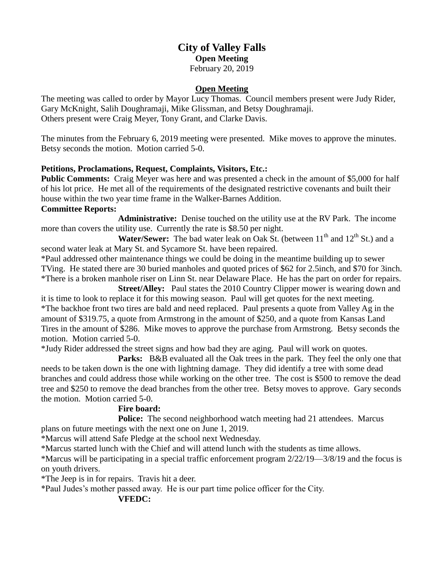# **City of Valley Falls Open Meeting** February 20, 2019

#### **Open Meeting**

The meeting was called to order by Mayor Lucy Thomas. Council members present were Judy Rider, Gary McKnight, Salih Doughramaji, Mike Glissman, and Betsy Doughramaji. Others present were Craig Meyer, Tony Grant, and Clarke Davis.

The minutes from the February 6, 2019 meeting were presented. Mike moves to approve the minutes. Betsy seconds the motion. Motion carried 5-0.

#### **Petitions, Proclamations, Request, Complaints, Visitors, Etc.:**

**Public Comments:** Craig Meyer was here and was presented a check in the amount of \$5,000 for half of his lot price. He met all of the requirements of the designated restrictive covenants and built their house within the two year time frame in the Walker-Barnes Addition.

#### **Committee Reports:**

**Administrative:** Denise touched on the utility use at the RV Park. The income more than covers the utility use. Currently the rate is \$8.50 per night.

Water/Sewer: The bad water leak on Oak St. (between 11<sup>th</sup> and 12<sup>th</sup> St.) and a second water leak at Mary St. and Sycamore St. have been repaired.

\*Paul addressed other maintenance things we could be doing in the meantime building up to sewer TVing. He stated there are 30 buried manholes and quoted prices of \$62 for 2.5inch, and \$70 for 3inch. \*There is a broken manhole riser on Linn St. near Delaware Place. He has the part on order for repairs.

**Street/Alley:** Paul states the 2010 Country Clipper mower is wearing down and it is time to look to replace it for this mowing season. Paul will get quotes for the next meeting. \*The backhoe front two tires are bald and need replaced. Paul presents a quote from Valley Ag in the amount of \$319.75, a quote from Armstrong in the amount of \$250, and a quote from Kansas Land Tires in the amount of \$286. Mike moves to approve the purchase from Armstrong. Betsy seconds the motion. Motion carried 5-0.

\*Judy Rider addressed the street signs and how bad they are aging. Paul will work on quotes.

**Parks:** B&B evaluated all the Oak trees in the park. They feel the only one that needs to be taken down is the one with lightning damage. They did identify a tree with some dead branches and could address those while working on the other tree. The cost is \$500 to remove the dead tree and \$250 to remove the dead branches from the other tree. Betsy moves to approve. Gary seconds the motion. Motion carried 5-0.

## **Fire board:**

Police: The second neighborhood watch meeting had 21 attendees. Marcus plans on future meetings with the next one on June 1, 2019.

\*Marcus will attend Safe Pledge at the school next Wednesday.

\*Marcus started lunch with the Chief and will attend lunch with the students as time allows.

\*Marcus will be participating in a special traffic enforcement program 2/22/19—3/8/19 and the focus is on youth drivers.

\*The Jeep is in for repairs. Travis hit a deer.

\*Paul Judes's mother passed away. He is our part time police officer for the City.

## **VFEDC:**